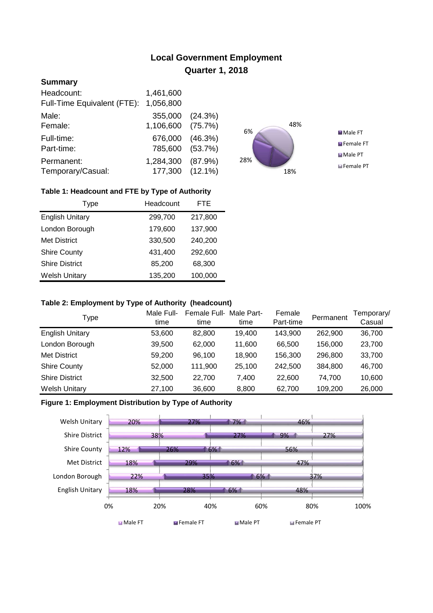# **Local Government Employment Quarter 1, 2018**

# **Summary**

| Headcount:                  | 1,461,600       |         |
|-----------------------------|-----------------|---------|
| Full-Time Equivalent (FTE): | 1,056,800       |         |
| Male:                       | 355,000 (24.3%) |         |
| Female:                     | 1,106,600       | (75.7%) |
| Full-time:                  | 676,000         | (46.3%) |
| Part-time:                  | 785,600 (53.7%) |         |
| Permanent:                  | 1,284,300       | (87.9%) |
| Temporary/Casual:           | 177,300 (12.1%) |         |



## **Table 1: Headcount and FTE by Type of Authority**

| Type                   | Headcount | <b>FTE</b> |
|------------------------|-----------|------------|
| <b>English Unitary</b> | 299,700   | 217,800    |
| London Borough         | 179,600   | 137,900    |
| <b>Met District</b>    | 330,500   | 240,200    |
| <b>Shire County</b>    | 431,400   | 292,600    |
| <b>Shire District</b>  | 85,200    | 68,300     |
| <b>Welsh Unitary</b>   | 135,200   | 100,000    |

#### **Table 2: Employment by Type of Authority (headcount)**

| Type                   | Male Full-<br>time | Female Full-<br>time | Male Part-<br>time | Female<br>Part-time | Permanent | Femporary/<br>Casual |
|------------------------|--------------------|----------------------|--------------------|---------------------|-----------|----------------------|
| <b>English Unitary</b> | 53,600             | 82,800               | 19,400             | 143,900             | 262,900   | 36,700               |
| London Borough         | 39,500             | 62,000               | 11,600             | 66,500              | 156,000   | 23,700               |
| <b>Met District</b>    | 59,200             | 96,100               | 18,900             | 156,300             | 296,800   | 33,700               |
| <b>Shire County</b>    | 52,000             | 111.900              | 25,100             | 242,500             | 384,800   | 46,700               |
| <b>Shire District</b>  | 32,500             | 22.700               | 7.400              | 22,600              | 74.700    | 10,600               |
| <b>Welsh Unitary</b>   | 27,100             | 36,600               | 8,800              | 62,700              | 109,200   | 26,000               |

## **Figure 1: Employment Distribution by Type of Authority**